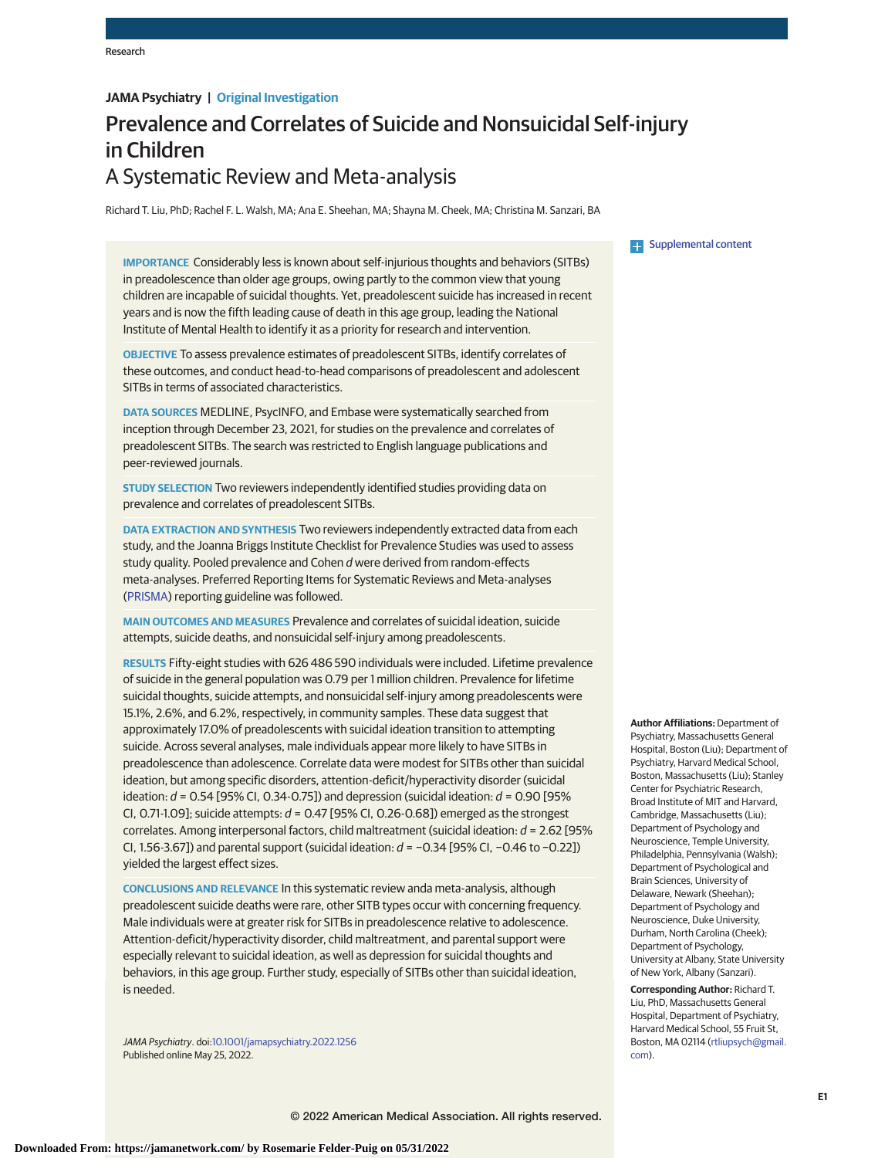# **JAMA Psychiatry | Original Investigation**

# Prevalence and Correlates of Suicide and Nonsuicidal Self-injury in Children A Systematic Review and Meta-analysis

Richard T. Liu, PhD; Rachel F. L. Walsh, MA; Ana E. Sheehan, MA; Shayna M. Cheek, MA; Christina M. Sanzari, BA

**IMPORTANCE** Considerably less is known about self-injurious thoughts and behaviors (SITBs) in preadolescence than older age groups, owing partly to the common view that young children are incapable of suicidal thoughts. Yet, preadolescent suicide has increased in recent years and is now the fifth leading cause of death in this age group, leading the National Institute of Mental Health to identify it as a priority for research and intervention.

**OBJECTIVE** To assess prevalence estimates of preadolescent SITBs, identify correlates of these outcomes, and conduct head-to-head comparisons of preadolescent and adolescent SITBs in terms of associated characteristics.

**DATA SOURCES** MEDLINE, PsycINFO, and Embase were systematically searched from inception through December 23, 2021, for studies on the prevalence and correlates of preadolescent SITBs. The search was restricted to English language publications and peer-reviewed journals.

**STUDY SELECTION** Two reviewers independently identified studies providing data on prevalence and correlates of preadolescent SITBs.

**DATA EXTRACTION AND SYNTHESIS** Two reviewers independently extracted data from each study, and the Joanna Briggs Institute Checklist for Prevalence Studies was used to assess study quality. Pooled prevalence and Cohen d were derived from random-effects meta-analyses. Preferred Reporting Items for Systematic Reviews and Meta-analyses [\(PRISMA\)](http://www.equator-network.org/reporting-guidelines/prisma/) reporting guideline was followed.

**MAIN OUTCOMES AND MEASURES** Prevalence and correlates of suicidal ideation, suicide attempts, suicide deaths, and nonsuicidal self-injury among preadolescents.

**RESULTS** Fifty-eight studies with 626 486 590 individuals were included. Lifetime prevalence of suicide in the general population was 0.79 per 1 million children. Prevalence for lifetime suicidal thoughts, suicide attempts, and nonsuicidal self-injury among preadolescents were 15.1%, 2.6%, and 6.2%, respectively, in community samples. These data suggest that approximately 17.0% of preadolescents with suicidal ideation transition to attempting suicide. Across several analyses, male individuals appear more likely to have SITBs in preadolescence than adolescence. Correlate data were modest for SITBs other than suicidal ideation, but among specific disorders, attention-deficit/hyperactivity disorder (suicidal ideation:  $d = 0.54$  [95% Cl, 0.34-0.75]) and depression (suicidal ideation:  $d = 0.90$  [95% CI, 0.71-1.09]; suicide attempts:  $d = 0.47$  [95% CI, 0.26-0.68]) emerged as the strongest correlates. Among interpersonal factors, child maltreatment (suicidal ideation:  $d = 2.62$  [95% CI, 1.56-3.67]) and parental support (suicidal ideation: d = −0.34 [95% CI, −0.46 to −0.22]) yielded the largest effect sizes.

**CONCLUSIONS AND RELEVANCE** In this systematic review anda meta-analysis, although preadolescent suicide deaths were rare, other SITB types occur with concerning frequency. Male individuals were at greater risk for SITBs in preadolescence relative to adolescence. Attention-deficit/hyperactivity disorder, child maltreatment, and parental support were especially relevant to suicidal ideation, as well as depression for suicidal thoughts and behaviors, in this age group. Further study, especially of SITBs other than suicidal ideation, is needed.

JAMA Psychiatry. doi[:10.1001/jamapsychiatry.2022.1256](https://jamanetwork.com/journals/jama/fullarticle/10.1001/jamapsychiatry.2022.1256?utm_campaign=articlePDF%26utm_medium=articlePDFlink%26utm_source=articlePDF%26utm_content=jamapsychiatry.2022.1256) Published online May 25, 2022.

**Examplemental content** 

**Author Affiliations:** Department of Psychiatry, Massachusetts General Hospital, Boston (Liu); Department of Psychiatry, Harvard Medical School, Boston, Massachusetts (Liu); Stanley Center for Psychiatric Research, Broad Institute of MIT and Harvard, Cambridge, Massachusetts (Liu); Department of Psychology and Neuroscience, Temple University, Philadelphia, Pennsylvania (Walsh); Department of Psychological and Brain Sciences, University of Delaware, Newark (Sheehan); Department of Psychology and Neuroscience, Duke University, Durham, North Carolina (Cheek); Department of Psychology, University at Albany, State University of New York, Albany (Sanzari).

**Corresponding Author:** Richard T. Liu, PhD, Massachusetts General Hospital, Department of Psychiatry, Harvard Medical School, 55 Fruit St, Boston, MA 02114 [\(rtliupsych@gmail.](mailto:rtliupsych@gmail.com) [com\)](mailto:rtliupsych@gmail.com).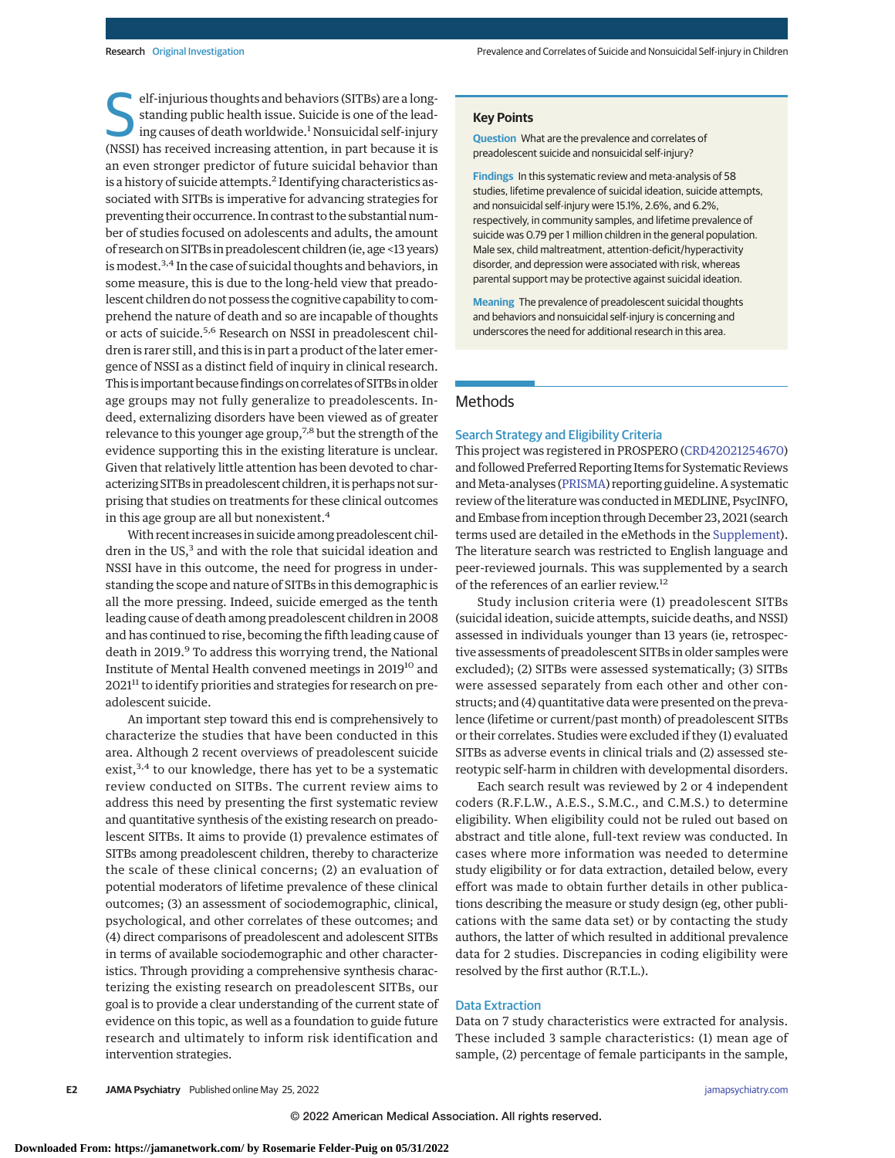elf-injurious thoughts and behaviors (SITBs) are a long-<br>standing public health issue. Suicide is one of the lead-<br>ing causes of death worldwide.<sup>1</sup> Nonsuicidal self-injury<br>(NSSI) has received increasing attention, in part standing public health issue. Suicide is one of the lead-(NSSI) has received increasing attention, in part because it is an even stronger predictor of future suicidal behavior than is a history of suicide attempts.<sup>2</sup> Identifying characteristics associated with SITBs is imperative for advancing strategies for preventing their occurrence. In contrast to the substantial number of studies focused on adolescents and adults, the amount of research on SITBs in preadolescent children (ie, age <13 years) is modest.3,4 In the case of suicidal thoughts and behaviors, in some measure, this is due to the long-held view that preadolescent children do not possess the cognitive capability to comprehend the nature of death and so are incapable of thoughts or acts of suicide.5,6 Research on NSSI in preadolescent children is rarer still, and this is in part a product of the later emergence of NSSI as a distinct field of inquiry in clinical research. This is important because findings on correlates of SITBs in older age groups may not fully generalize to preadolescents. Indeed, externalizing disorders have been viewed as of greater relevance to this younger age group,7,8 but the strength of the evidence supporting this in the existing literature is unclear. Given that relatively little attention has been devoted to characterizing SITBs in preadolescent children, it is perhaps not surprising that studies on treatments for these clinical outcomes in this age group are all but nonexistent.4

With recent increases in suicide among preadolescent children in the US,<sup>3</sup> and with the role that suicidal ideation and NSSI have in this outcome, the need for progress in understanding the scope and nature of SITBs in this demographic is all the more pressing. Indeed, suicide emerged as the tenth leading cause of death among preadolescent children in 2008 and has continued to rise, becoming the fifth leading cause of death in 2019.<sup>9</sup> To address this worrying trend, the National Institute of Mental Health convened meetings in 201910 and 2021<sup>11</sup> to identify priorities and strategies for research on preadolescent suicide.

An important step toward this end is comprehensively to characterize the studies that have been conducted in this area. Although 2 recent overviews of preadolescent suicide exist,<sup>3,4</sup> to our knowledge, there has yet to be a systematic review conducted on SITBs. The current review aims to address this need by presenting the first systematic review and quantitative synthesis of the existing research on preadolescent SITBs. It aims to provide (1) prevalence estimates of SITBs among preadolescent children, thereby to characterize the scale of these clinical concerns; (2) an evaluation of potential moderators of lifetime prevalence of these clinical outcomes; (3) an assessment of sociodemographic, clinical, psychological, and other correlates of these outcomes; and (4) direct comparisons of preadolescent and adolescent SITBs in terms of available sociodemographic and other characteristics. Through providing a comprehensive synthesis characterizing the existing research on preadolescent SITBs, our goal is to provide a clear understanding of the current state of evidence on this topic, as well as a foundation to guide future research and ultimately to inform risk identification and intervention strategies.

#### **Key Points**

**Question** What are the prevalence and correlates of preadolescent suicide and nonsuicidal self-injury?

**Findings** In this systematic review and meta-analysis of 58 studies, lifetime prevalence of suicidal ideation, suicide attempts, and nonsuicidal self-injury were 15.1%, 2.6%, and 6.2%, respectively, in community samples, and lifetime prevalence of suicide was 0.79 per 1 million children in the general population. Male sex, child maltreatment, attention-deficit/hyperactivity disorder, and depression were associated with risk, whereas parental support may be protective against suicidal ideation.

**Meaning** The prevalence of preadolescent suicidal thoughts and behaviors and nonsuicidal self-injury is concerning and underscores the need for additional research in this area.

# Methods

#### Search Strategy and Eligibility Criteria

This project was registered in PROSPERO [\(CRD42021254670\)](https://www.crd.york.ac.uk/prospero/display_record.php?RecordID=254670) and followed Preferred Reporting Items for Systematic Reviews and Meta-analyses [\(PRISMA\)](http://www.equator-network.org/reporting-guidelines/prisma/) reporting guideline. A systematic review of the literature was conducted in MEDLINE, PsycINFO, and Embase from inception through December 23, 2021 (search terms used are detailed in the eMethods in the [Supplement\)](https://jamanetwork.com/journals/jama/fullarticle/10.1001/jamapsychiatry.2022.1256?utm_campaign=articlePDF%26utm_medium=articlePDFlink%26utm_source=articlePDF%26utm_content=jamapsychiatry.2022.1256). The literature search was restricted to English language and peer-reviewed journals. This was supplemented by a search of the references of an earlier review.<sup>12</sup>

Study inclusion criteria were (1) preadolescent SITBs (suicidal ideation, suicide attempts, suicide deaths, and NSSI) assessed in individuals younger than 13 years (ie, retrospective assessments of preadolescent SITBs in older samples were excluded); (2) SITBs were assessed systematically; (3) SITBs were assessed separately from each other and other constructs; and (4) quantitative data were presented on the prevalence (lifetime or current/past month) of preadolescent SITBs or their correlates. Studies were excluded if they (1) evaluated SITBs as adverse events in clinical trials and (2) assessed stereotypic self-harm in children with developmental disorders.

Each search result was reviewed by 2 or 4 independent coders (R.F.L.W., A.E.S., S.M.C., and C.M.S.) to determine eligibility. When eligibility could not be ruled out based on abstract and title alone, full-text review was conducted. In cases where more information was needed to determine study eligibility or for data extraction, detailed below, every effort was made to obtain further details in other publications describing the measure or study design (eg, other publications with the same data set) or by contacting the study authors, the latter of which resulted in additional prevalence data for 2 studies. Discrepancies in coding eligibility were resolved by the first author (R.T.L.).

#### Data Extraction

Data on 7 study characteristics were extracted for analysis. These included 3 sample characteristics: (1) mean age of sample, (2) percentage of female participants in the sample,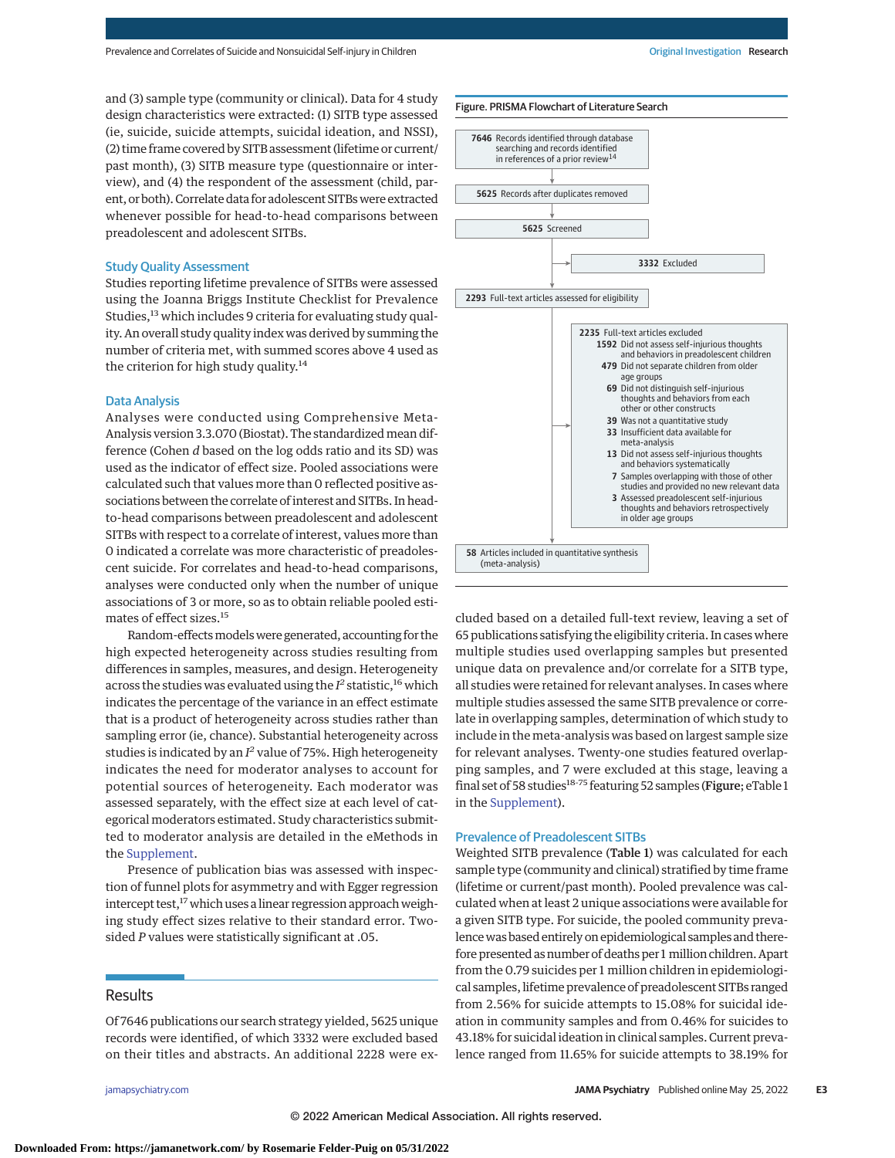and (3) sample type (community or clinical). Data for 4 study design characteristics were extracted: (1) SITB type assessed (ie, suicide, suicide attempts, suicidal ideation, and NSSI), (2) time frame covered by SITB assessment (lifetime or current/ past month), (3) SITB measure type (questionnaire or interview), and (4) the respondent of the assessment (child, parent, or both). Correlate data for adolescent SITBs were extracted whenever possible for head-to-head comparisons between preadolescent and adolescent SITBs.

## Study Quality Assessment

Studies reporting lifetime prevalence of SITBs were assessed using the Joanna Briggs Institute Checklist for Prevalence Studies,<sup>13</sup> which includes 9 criteria for evaluating study quality. An overall study quality index was derived by summing the number of criteria met, with summed scores above 4 used as the criterion for high study quality.<sup>14</sup>

#### Data Analysis

Analyses were conducted using Comprehensive Meta-Analysis version 3.3.070 (Biostat). The standardized mean difference (Cohen *d* based on the log odds ratio and its SD) was used as the indicator of effect size. Pooled associations were calculated such that values more than 0 reflected positive associations between the correlate of interest and SITBs. In headto-head comparisons between preadolescent and adolescent SITBs with respect to a correlate of interest, values more than 0 indicated a correlate was more characteristic of preadolescent suicide. For correlates and head-to-head comparisons, analyses were conducted only when the number of unique associations of 3 or more, so as to obtain reliable pooled estimates of effect sizes.<sup>15</sup>

Random-effects models were generated, accounting for the high expected heterogeneity across studies resulting from differences in samples, measures, and design. Heterogeneity across the studies was evaluated using the  $I^2$  statistic,<sup>16</sup> which indicates the percentage of the variance in an effect estimate that is a product of heterogeneity across studies rather than sampling error (ie, chance). Substantial heterogeneity across studies is indicated by an *I <sup>2</sup>* value of 75%. High heterogeneity indicates the need for moderator analyses to account for potential sources of heterogeneity. Each moderator was assessed separately, with the effect size at each level of categorical moderators estimated. Study characteristics submitted to moderator analysis are detailed in the eMethods in the [Supplement.](https://jamanetwork.com/journals/jama/fullarticle/10.1001/jamapsychiatry.2022.1256?utm_campaign=articlePDF%26utm_medium=articlePDFlink%26utm_source=articlePDF%26utm_content=jamapsychiatry.2022.1256)

Presence of publication bias was assessed with inspection of funnel plots for asymmetry and with Egger regression intercept test,<sup>17</sup> which uses a linear regression approach weighing study effect sizes relative to their standard error. Twosided *P* values were statistically significant at .05.

## **Results**

Of 7646 publications our search strategy yielded, 5625 unique records were identified, of which 3332 were excluded based on their titles and abstracts. An additional 2228 were ex-



cluded based on a detailed full-text review, leaving a set of 65 publications satisfying the eligibility criteria. In cases where multiple studies used overlapping samples but presented unique data on prevalence and/or correlate for a SITB type, all studies were retained for relevant analyses. In cases where multiple studies assessed the same SITB prevalence or correlate in overlapping samples, determination of which study to include in the meta-analysis was based on largest sample size for relevant analyses. Twenty-one studies featured overlapping samples, and 7 were excluded at this stage, leaving a final set of 58 studies $^{18\cdot 75}$  featuring 52 samples (Figure; eTable 1 in the [Supplement\)](https://jamanetwork.com/journals/jama/fullarticle/10.1001/jamapsychiatry.2022.1256?utm_campaign=articlePDF%26utm_medium=articlePDFlink%26utm_source=articlePDF%26utm_content=jamapsychiatry.2022.1256).

#### Prevalence of Preadolescent SITBs

Weighted SITB prevalence (Table 1) was calculated for each sample type (community and clinical) stratified by time frame (lifetime or current/past month). Pooled prevalence was calculated when at least 2 unique associations were available for a given SITB type. For suicide, the pooled community prevalencewas based entirely on epidemiological samples and therefore presented as number of deaths per 1 million children. Apart from the 0.79 suicides per 1 million children in epidemiological samples, lifetime prevalence of preadolescent SITBs ranged from 2.56% for suicide attempts to 15.08% for suicidal ideation in community samples and from 0.46% for suicides to 43.18% for suicidal ideation in clinical samples. Current prevalence ranged from 11.65% for suicide attempts to 38.19% for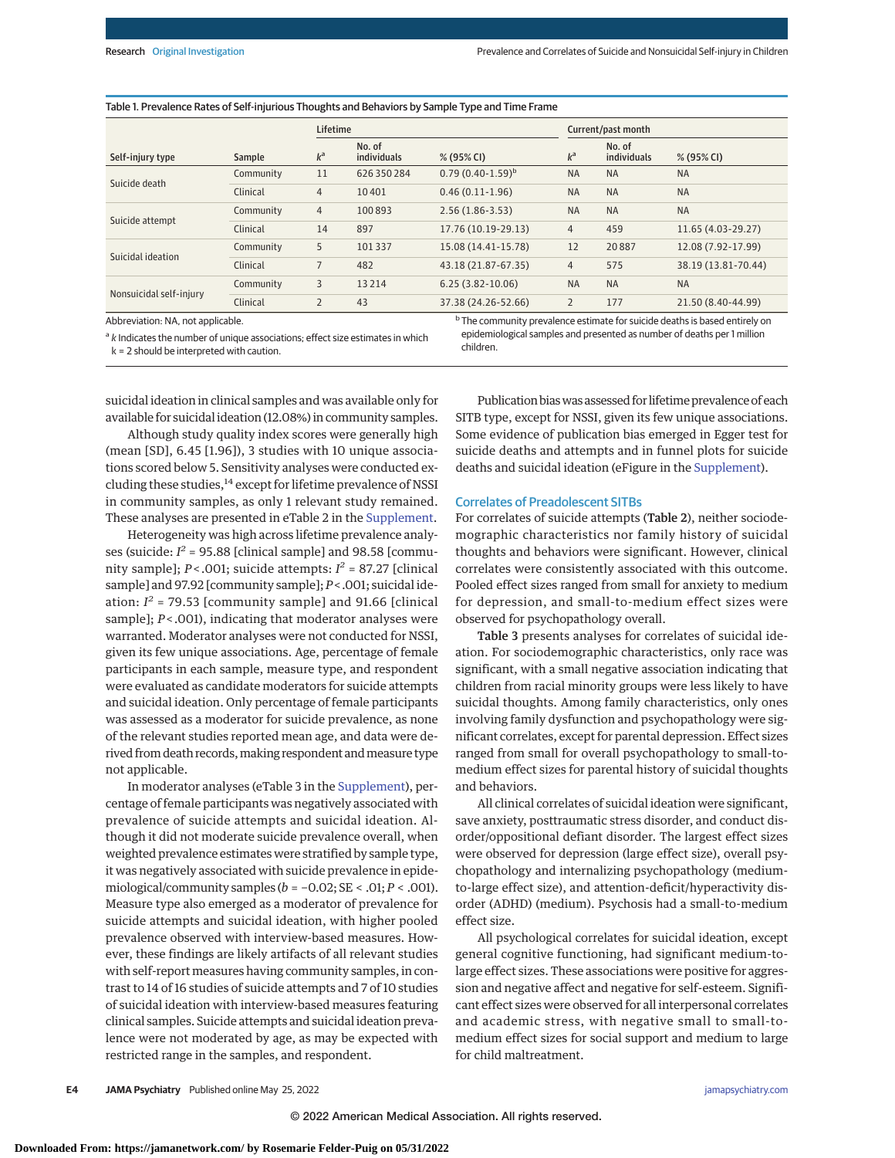#### Table 1. Prevalence Rates of Self-injurious Thoughts and Behaviors by Sample Type and Time Frame

|                         |           | <b>Lifetime</b> |                       |                       | Current/past month |                       |                     |
|-------------------------|-----------|-----------------|-----------------------|-----------------------|--------------------|-----------------------|---------------------|
| Self-injury type        | Sample    | $k^a$           | No. of<br>individuals | % (95% CI)            | $k^a$              | No. of<br>individuals | % (95% CI)          |
| Suicide death           | Community | 11              | 626350284             | $0.79(0.40-1.59)^{b}$ | <b>NA</b>          | <b>NA</b>             | <b>NA</b>           |
|                         | Clinical  | $\overline{4}$  | 10401                 | $0.46(0.11-1.96)$     | <b>NA</b>          | <b>NA</b>             | <b>NA</b>           |
|                         | Community | $\overline{4}$  | 100893                | $2.56(1.86-3.53)$     | <b>NA</b>          | <b>NA</b>             | <b>NA</b>           |
| Suicide attempt         | Clinical  | 14              | 897                   | 17.76 (10.19-29.13)   | 4                  | 459                   | 11.65 (4.03-29.27)  |
|                         | Community | 5               | 101337                | 15.08 (14.41-15.78)   | 12                 | 20887                 | 12.08 (7.92-17.99)  |
| Suicidal ideation       | Clinical  | 7               | 482                   | 43.18 (21.87-67.35)   | $\overline{4}$     | 575                   | 38.19 (13.81-70.44) |
|                         | Community | 3               | 13214                 | $6.25(3.82 - 10.06)$  | <b>NA</b>          | <b>NA</b>             | <b>NA</b>           |
| Nonsuicidal self-injury | Clinical  | $\overline{2}$  | 43                    | 37.38 (24.26-52.66)   | $\overline{2}$     | 177                   | 21.50 (8.40-44.99)  |

Abbreviation: NA, not applicable.

k = 2 should be interpreted with caution.

 $a<sup>a</sup>$  k Indicates the number of unique associations; effect size estimates in which

<sup>b</sup> The community prevalence estimate for suicide deaths is based entirely on epidemiological samples and presented as number of deaths per 1 million children.

suicidal ideation in clinical samples and was available only for available for suicidal ideation (12.08%) in community samples.

Although study quality index scores were generally high (mean [SD], 6.45 [1.96]), 3 studies with 10 unique associations scored below 5. Sensitivity analyses were conducted excluding these studies, $14$  except for lifetime prevalence of NSSI in community samples, as only 1 relevant study remained. These analyses are presented in eTable 2 in the [Supplement.](https://jamanetwork.com/journals/jama/fullarticle/10.1001/jamapsychiatry.2022.1256?utm_campaign=articlePDF%26utm_medium=articlePDFlink%26utm_source=articlePDF%26utm_content=jamapsychiatry.2022.1256)

Heterogeneity was high across lifetime prevalence analyses (suicide:  $I^2$  = 95.88 [clinical sample] and 98.58 [community sample];  $P < .001$ ; suicide attempts:  $I^2 = 87.27$  [clinical sample] and 97.92 [community sample]; *P*< .001; suicidal ideation:  $I^2$  = 79.53 [community sample] and 91.66 [clinical sample];  $P$ <.001), indicating that moderator analyses were warranted. Moderator analyses were not conducted for NSSI, given its few unique associations. Age, percentage of female participants in each sample, measure type, and respondent were evaluated as candidate moderators for suicide attempts and suicidal ideation. Only percentage of female participants was assessed as a moderator for suicide prevalence, as none of the relevant studies reported mean age, and data were derived from death records, making respondent and measure type not applicable.

In moderator analyses (eTable 3 in the [Supplement\)](https://jamanetwork.com/journals/jama/fullarticle/10.1001/jamapsychiatry.2022.1256?utm_campaign=articlePDF%26utm_medium=articlePDFlink%26utm_source=articlePDF%26utm_content=jamapsychiatry.2022.1256), percentage of female participants was negatively associated with prevalence of suicide attempts and suicidal ideation. Although it did not moderate suicide prevalence overall, when weighted prevalence estimates were stratified by sample type, it was negatively associated with suicide prevalence in epidemiological/community samples  $(b = -0.02; SE < .01; P < .001)$ . Measure type also emerged as a moderator of prevalence for suicide attempts and suicidal ideation, with higher pooled prevalence observed with interview-based measures. However, these findings are likely artifacts of all relevant studies with self-report measures having community samples, in contrast to 14 of 16 studies of suicide attempts and 7 of 10 studies of suicidal ideation with interview-based measures featuring clinical samples. Suicide attempts and suicidal ideation prevalence were not moderated by age, as may be expected with restricted range in the samples, and respondent.

Publication biaswas assessed for lifetime prevalence of each SITB type, except for NSSI, given its few unique associations. Some evidence of publication bias emerged in Egger test for suicide deaths and attempts and in funnel plots for suicide deaths and suicidal ideation (eFigure in the [Supplement\)](https://jamanetwork.com/journals/jama/fullarticle/10.1001/jamapsychiatry.2022.1256?utm_campaign=articlePDF%26utm_medium=articlePDFlink%26utm_source=articlePDF%26utm_content=jamapsychiatry.2022.1256).

#### Correlates of Preadolescent SITBs

For correlates of suicide attempts (Table 2), neither sociodemographic characteristics nor family history of suicidal thoughts and behaviors were significant. However, clinical correlates were consistently associated with this outcome. Pooled effect sizes ranged from small for anxiety to medium for depression, and small-to-medium effect sizes were observed for psychopathology overall.

Table 3 presents analyses for correlates of suicidal ideation. For sociodemographic characteristics, only race was significant, with a small negative association indicating that children from racial minority groups were less likely to have suicidal thoughts. Among family characteristics, only ones involving family dysfunction and psychopathology were significant correlates, except for parental depression. Effect sizes ranged from small for overall psychopathology to small-tomedium effect sizes for parental history of suicidal thoughts and behaviors.

All clinical correlates of suicidal ideation were significant, save anxiety, posttraumatic stress disorder, and conduct disorder/oppositional defiant disorder. The largest effect sizes were observed for depression (large effect size), overall psychopathology and internalizing psychopathology (mediumto-large effect size), and attention-deficit/hyperactivity disorder (ADHD) (medium). Psychosis had a small-to-medium effect size.

All psychological correlates for suicidal ideation, except general cognitive functioning, had significant medium-tolarge effect sizes. These associations were positive for aggression and negative affect and negative for self-esteem. Significant effect sizes were observed for all interpersonal correlates and academic stress, with negative small to small-tomedium effect sizes for social support and medium to large for child maltreatment.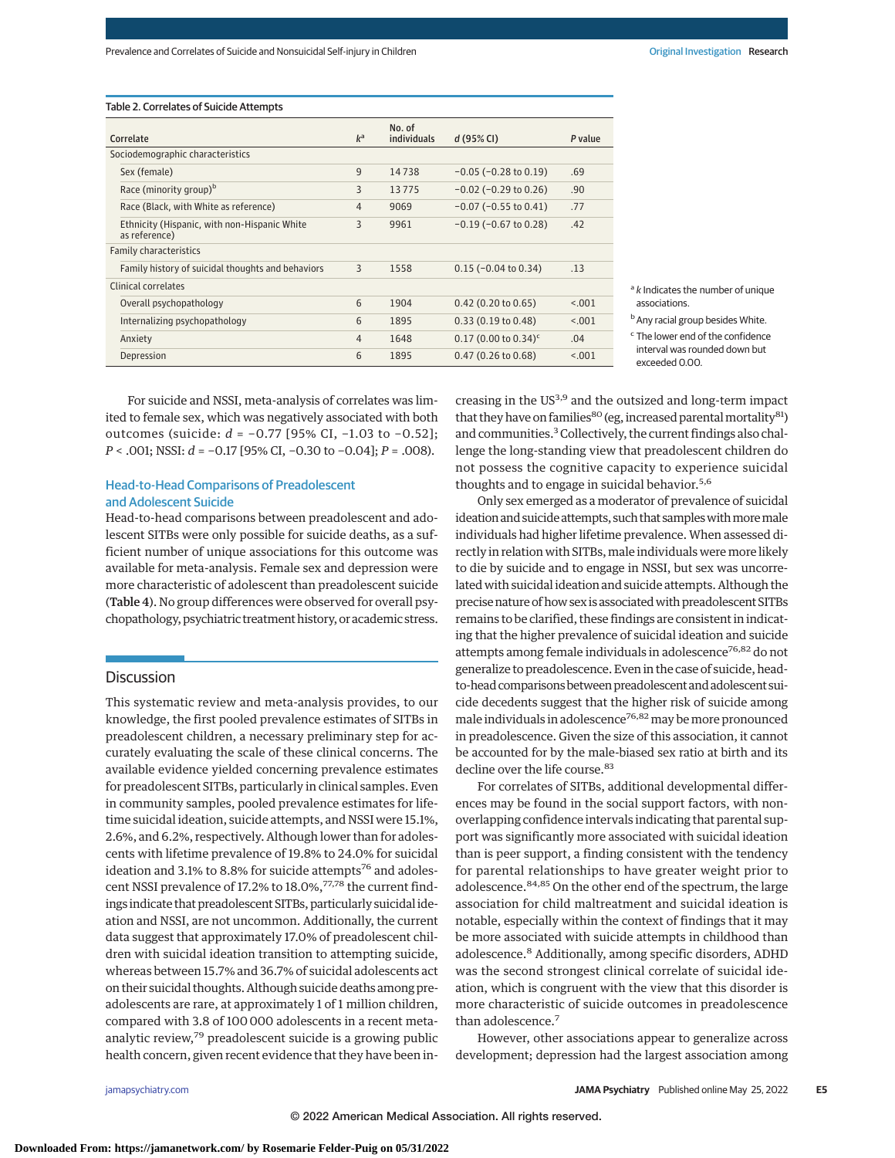#### Table 2. Correlates of Suicide Attempts

| Correlate                        |                                                               | $k^a$          | No. of<br>individuals | d(95% Cl)                          | P value |
|----------------------------------|---------------------------------------------------------------|----------------|-----------------------|------------------------------------|---------|
| Sociodemographic characteristics |                                                               |                |                       |                                    |         |
|                                  | Sex (female)                                                  | 9              | 14738                 | $-0.05$ ( $-0.28$ to $0.19$ )      | .69     |
|                                  | Race (minority group) <sup>b</sup>                            | 3              | 13775                 | $-0.02$ ( $-0.29$ to 0.26)         | .90     |
|                                  | Race (Black, with White as reference)                         | $\overline{4}$ | 9069                  | $-0.07$ ( $-0.55$ to $0.41$ )      | .77     |
|                                  | Ethnicity (Hispanic, with non-Hispanic White<br>as reference) | 3              | 9961                  | $-0.19$ ( $-0.67$ to 0.28)         | .42     |
| <b>Family characteristics</b>    |                                                               |                |                       |                                    |         |
|                                  | Family history of suicidal thoughts and behaviors             | 3              | 1558                  | $0.15$ (-0.04 to 0.34)             | .13     |
| <b>Clinical correlates</b>       |                                                               |                |                       |                                    |         |
|                                  | Overall psychopathology                                       | 6              | 1904                  | $0.42$ (0.20 to 0.65)              | < 0.01  |
|                                  | Internalizing psychopathology                                 | 6              | 1895                  | 0.33(0.19 to 0.48)                 | < 0.001 |
|                                  | Anxiety                                                       | $\overline{4}$ | 1648                  | $0.17$ (0.00 to 0.34) <sup>c</sup> | .04     |
|                                  | Depression                                                    | 6              | 1895                  | $0.47(0.26 \text{ to } 0.68)$      | < 0.001 |

 $a<sup>a</sup>$  k Indicates the number of unique associations.

**b** Any racial group besides White.

For suicide and NSSI, meta-analysis of correlates was limited to female sex, which was negatively associated with both outcomes (suicide: *d* = −0.77 [95% CI, −1.03 to −0.52]; *P* < .001; NSSI: *d* = −0.17 [95% CI, −0.30 to −0.04]; *P* = .008).

## Head-to-Head Comparisons of Preadolescent and Adolescent Suicide

Head-to-head comparisons between preadolescent and adolescent SITBs were only possible for suicide deaths, as a sufficient number of unique associations for this outcome was available for meta-analysis. Female sex and depression were more characteristic of adolescent than preadolescent suicide (Table 4). No group differences were observed for overall psychopathology, psychiatric treatment history, or academic stress.

#### **Discussion**

This systematic review and meta-analysis provides, to our knowledge, the first pooled prevalence estimates of SITBs in preadolescent children, a necessary preliminary step for accurately evaluating the scale of these clinical concerns. The available evidence yielded concerning prevalence estimates for preadolescent SITBs, particularly in clinical samples. Even in community samples, pooled prevalence estimates for lifetime suicidal ideation, suicide attempts, and NSSI were 15.1%, 2.6%, and 6.2%, respectively. Although lower than for adolescents with lifetime prevalence of 19.8% to 24.0% for suicidal ideation and 3.1% to 8.8% for suicide attempts<sup>76</sup> and adolescent NSSI prevalence of 17.2% to 18.0%,<sup>77,78</sup> the current findings indicate that preadolescent SITBs, particularly suicidal ideation and NSSI, are not uncommon. Additionally, the current data suggest that approximately 17.0% of preadolescent children with suicidal ideation transition to attempting suicide, whereas between 15.7% and 36.7% of suicidal adolescents act on their suicidal thoughts. Although suicide deaths among preadolescents are rare, at approximately 1 of 1 million children, compared with 3.8 of 100 000 adolescents in a recent metaanalytic review,<sup>79</sup> preadolescent suicide is a growing public health concern, given recent evidence that they have been increasing in the US<sup>3,9</sup> and the outsized and long-term impact that they have on families<sup>80</sup> (eg, increased parental mortality<sup>81</sup>) and communities.<sup>3</sup> Collectively, the current findings also challenge the long-standing view that preadolescent children do not possess the cognitive capacity to experience suicidal thoughts and to engage in suicidal behavior.<sup>5,6</sup>

Only sex emerged as a moderator of prevalence of suicidal ideation and suicide attempts, such that samples with more male individuals had higher lifetime prevalence. When assessed directly in relation with SITBs, male individuals were more likely to die by suicide and to engage in NSSI, but sex was uncorrelated with suicidal ideation and suicide attempts. Although the precise nature of how sex is associated with preadolescent SITBs remains to be clarified, these findings are consistent in indicating that the higher prevalence of suicidal ideation and suicide attempts among female individuals in adolescence<sup>76,82</sup> do not generalize to preadolescence. Even in the case of suicide, headto-head comparisons between preadolescent and adolescent suicide decedents suggest that the higher risk of suicide among male individuals in adolescence<sup>76,82</sup> may be more pronounced in preadolescence. Given the size of this association, it cannot be accounted for by the male-biased sex ratio at birth and its decline over the life course.<sup>83</sup>

For correlates of SITBs, additional developmental differences may be found in the social support factors, with nonoverlapping confidence intervals indicating that parental support was significantly more associated with suicidal ideation than is peer support, a finding consistent with the tendency for parental relationships to have greater weight prior to adolescence.<sup>84,85</sup> On the other end of the spectrum, the large association for child maltreatment and suicidal ideation is notable, especially within the context of findings that it may be more associated with suicide attempts in childhood than adolescence.<sup>8</sup> Additionally, among specific disorders, ADHD was the second strongest clinical correlate of suicidal ideation, which is congruent with the view that this disorder is more characteristic of suicide outcomes in preadolescence than adolescence.<sup>7</sup>

However, other associations appear to generalize across development; depression had the largest association among

<sup>c</sup> The lower end of the confidence interval was rounded down but exceeded 0.00.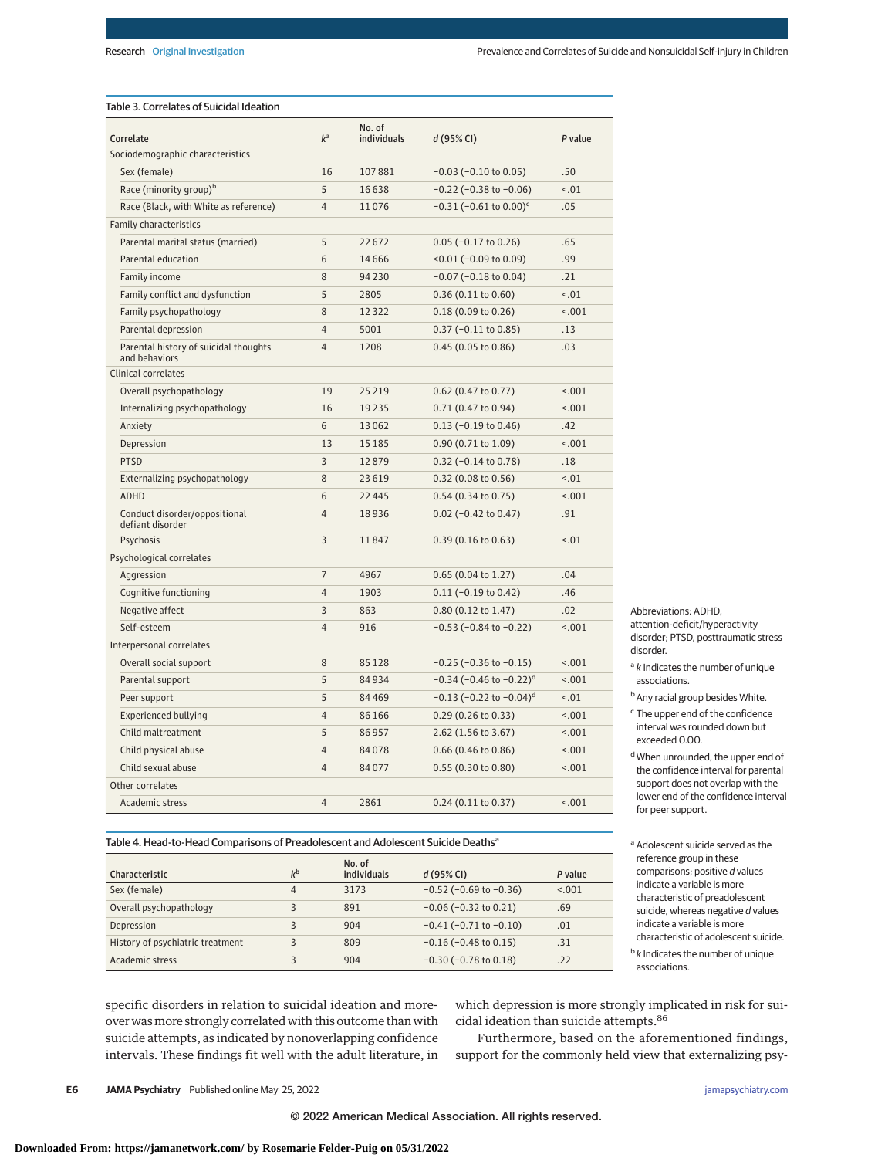## Table 3. Correlates of Suicidal Ideation

| Correlate                                              | $k^a$          | No. of<br>individuals | d(95% Cl)                                | P value   |
|--------------------------------------------------------|----------------|-----------------------|------------------------------------------|-----------|
| Sociodemographic characteristics                       |                |                       |                                          |           |
| Sex (female)                                           | 16             | 107881                | $-0.03$ ( $-0.10$ to 0.05)               | .50       |
| Race (minority group) <sup>b</sup>                     | 5              | 16638                 | $-0.22$ ( $-0.38$ to $-0.06$ )           | < .01     |
| Race (Black, with White as reference)                  | $\overline{4}$ | 11076                 | $-0.31$ (-0.61 to 0.00) <sup>c</sup>     | .05       |
| <b>Family characteristics</b>                          |                |                       |                                          |           |
| Parental marital status (married)                      | 5              | 22672                 | $0.05$ (-0.17 to 0.26)                   | .65       |
| Parental education                                     | 6              | 14666                 | $<$ 0.01 (-0.09 to 0.09)                 | .99       |
| Family income                                          | 8              | 94 2 30               | $-0.07$ ( $-0.18$ to 0.04)               | .21       |
| Family conflict and dysfunction                        | 5              | 2805                  | 0.36(0.11 to 0.60)                       | < .01     |
| Family psychopathology                                 | 8              | 12322                 | 0.18(0.09 to 0.26)                       | < 0.01    |
| Parental depression                                    | 4              | 5001                  | $0.37$ (-0.11 to 0.85)                   | .13       |
| Parental history of suicidal thoughts<br>and behaviors | $\overline{4}$ | 1208                  | 0.45(0.05 to 0.86)                       | .03       |
| Clinical correlates                                    |                |                       |                                          |           |
| Overall psychopathology                                | 19             | 25 2 19               | $0.62$ (0.47 to 0.77)                    | < .001    |
| Internalizing psychopathology                          | 16             | 19235                 | 0.71(0.47 to 0.94)                       | < .001    |
| Anxiety                                                | 6              | 13062                 | $0.13$ (-0.19 to 0.46)                   | .42       |
| Depression                                             | 13             | 15 18 5               | $0.90(0.71 \text{ to } 1.09)$            | < .001    |
| <b>PTSD</b>                                            | 3              | 12879                 | $0.32$ (-0.14 to 0.78)                   | .18       |
| Externalizing psychopathology                          | 8              | 23619                 | 0.32(0.08 to 0.56)                       | $15 - 01$ |
| <b>ADHD</b>                                            | 6              | 22445                 | $0.54$ (0.34 to 0.75)                    | < .001    |
| Conduct disorder/oppositional<br>defiant disorder      | $\overline{4}$ | 18936                 | $0.02$ (-0.42 to 0.47)                   | .91       |
| Psychosis                                              | 3              | 11847                 | $0.39(0.16 \text{ to } 0.63)$            | < .01     |
| Psychological correlates                               |                |                       |                                          |           |
| Aggression                                             | $\overline{7}$ | 4967                  | $0.65(0.04 \text{ to } 1.27)$            | .04       |
| Cognitive functioning                                  | 4              | 1903                  | $0.11 (-0.19 to 0.42)$                   | .46       |
| Negative affect                                        | 3              | 863                   | $0.80(0.12 \text{ to } 1.47)$            | .02       |
| Self-esteem                                            | 4              | 916                   | $-0.53$ ( $-0.84$ to $-0.22$ )           | < .001    |
| Interpersonal correlates                               |                |                       |                                          |           |
| Overall social support                                 | 8              | 85128                 | $-0.25$ ( $-0.36$ to $-0.15$ )           | < .001    |
| Parental support                                       | 5              | 84934                 | $-0.34$ (-0.46 to $-0.22$ ) <sup>d</sup> | < .001    |
| Peer support                                           | 5              | 84469                 | $-0.13$ (-0.22 to $-0.04$ ) <sup>d</sup> | < .01     |
| <b>Experienced bullying</b>                            | 4              | 86 166                | $0.29$ (0.26 to 0.33)                    | < .001    |
| Child maltreatment                                     | 5              | 86957                 | 2.62 (1.56 to 3.67)                      | < .001    |
| Child physical abuse                                   | 4              | 84078                 | $0.66$ (0.46 to 0.86)                    | 1001      |
| Child sexual abuse                                     | 4              | 84077                 | 0.55(0.30 to 0.80)                       | < .001    |
| Other correlates                                       |                |                       |                                          |           |
| Academic stress                                        | 4              | 2861                  | $0.24$ (0.11 to 0.37)                    | < .001    |

Abbreviations: ADHD, attention-deficit/hyperactivity disorder; PTSD, posttraumatic stress disorder.

 $a<sup>a</sup>$  k Indicates the number of unique associations.

<sup>b</sup> Any racial group besides White.

- <sup>c</sup> The upper end of the confidence interval was rounded down but exceeded 0.00.
- d When unrounded, the upper end of the confidence interval for parental support does not overlap with the lower end of the confidence interval for peer support.

# Table 4. Head-to-Head Comparisons of Preadolescent and Adolescent Suicide Deaths<sup>a</sup>

| Characteristic                   | $k^{\rm b}$ | No. of<br>individuals | d(95% Cl)                      | P value |
|----------------------------------|-------------|-----------------------|--------------------------------|---------|
| Sex (female)                     | 4           | 3173                  | $-0.52$ ( $-0.69$ to $-0.36$ ) | < 0.001 |
| Overall psychopathology          |             | 891                   | $-0.06$ ( $-0.32$ to 0.21)     | .69     |
| Depression                       |             | 904                   | $-0.41$ ( $-0.71$ to $-0.10$ ) | .01     |
| History of psychiatric treatment |             | 809                   | $-0.16$ ( $-0.48$ to 0.15)     | .31     |
| Academic stress                  |             | 904                   | $-0.30$ ( $-0.78$ to 0.18)     | .22     |

<sup>a</sup> Adolescent suicide served as the reference group in these comparisons; positive d values indicate a variable is more characteristic of preadolescent suicide, whereas negative  $d$  values indicate a variable is more characteristic of adolescent suicide.  $\frac{b}{k}$  Indicates the number of unique

associations.

specific disorders in relation to suicidal ideation and moreover wasmore strongly correlated with this outcome than with suicide attempts, as indicated by nonoverlapping confidence intervals. These findings fit well with the adult literature, in

which depression is more strongly implicated in risk for suicidal ideation than suicide attempts.<sup>86</sup>

Furthermore, based on the aforementioned findings, support for the commonly held view that externalizing psy-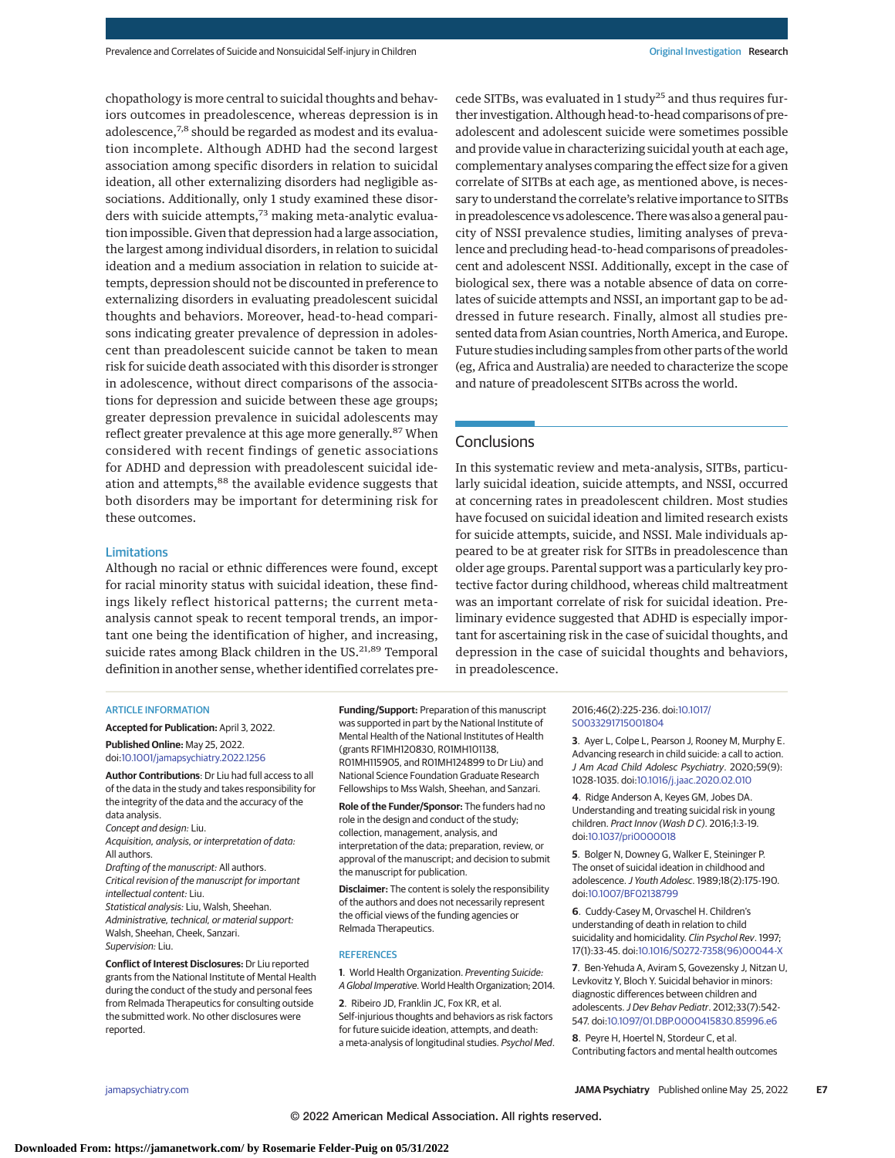chopathology is more central to suicidal thoughts and behaviors outcomes in preadolescence, whereas depression is in adolescence,<sup>7,8</sup> should be regarded as modest and its evaluation incomplete. Although ADHD had the second largest association among specific disorders in relation to suicidal ideation, all other externalizing disorders had negligible associations. Additionally, only 1 study examined these disorders with suicide attempts,<sup>73</sup> making meta-analytic evaluation impossible. Given that depression had a large association, the largest among individual disorders, in relation to suicidal ideation and a medium association in relation to suicide attempts, depression should not be discounted in preference to externalizing disorders in evaluating preadolescent suicidal thoughts and behaviors. Moreover, head-to-head comparisons indicating greater prevalence of depression in adolescent than preadolescent suicide cannot be taken to mean risk for suicide death associated with this disorder is stronger in adolescence, without direct comparisons of the associations for depression and suicide between these age groups; greater depression prevalence in suicidal adolescents may reflect greater prevalence at this age more generally.<sup>87</sup> When considered with recent findings of genetic associations for ADHD and depression with preadolescent suicidal ideation and attempts,<sup>88</sup> the available evidence suggests that both disorders may be important for determining risk for these outcomes.

#### **Limitations**

Although no racial or ethnic differences were found, except for racial minority status with suicidal ideation, these findings likely reflect historical patterns; the current metaanalysis cannot speak to recent temporal trends, an important one being the identification of higher, and increasing, suicide rates among Black children in the US.<sup>21,89</sup> Temporal definition in another sense, whether identified correlates precede SITBs, was evaluated in 1 study<sup>25</sup> and thus requires further investigation. Although head-to-head comparisons of preadolescent and adolescent suicide were sometimes possible and provide value in characterizing suicidal youth at each age, complementary analyses comparing the effect size for a given correlate of SITBs at each age, as mentioned above, is necessary to understand the correlate's relative importance to SITBs in preadolescence vs adolescence. Therewas also a general paucity of NSSI prevalence studies, limiting analyses of prevalence and precluding head-to-head comparisons of preadolescent and adolescent NSSI. Additionally, except in the case of biological sex, there was a notable absence of data on correlates of suicide attempts and NSSI, an important gap to be addressed in future research. Finally, almost all studies presented data from Asian countries, North America, and Europe. Future studies including samples from other parts of the world (eg, Africa and Australia) are needed to characterize the scope and nature of preadolescent SITBs across the world.

# **Conclusions**

In this systematic review and meta-analysis, SITBs, particularly suicidal ideation, suicide attempts, and NSSI, occurred at concerning rates in preadolescent children. Most studies have focused on suicidal ideation and limited research exists for suicide attempts, suicide, and NSSI. Male individuals appeared to be at greater risk for SITBs in preadolescence than older age groups. Parental support was a particularly key protective factor during childhood, whereas child maltreatment was an important correlate of risk for suicidal ideation. Preliminary evidence suggested that ADHD is especially important for ascertaining risk in the case of suicidal thoughts, and depression in the case of suicidal thoughts and behaviors, in preadolescence.

#### ARTICLE INFORMATION

**Accepted for Publication:** April 3, 2022.

**Published Online:** May 25, 2022. doi[:10.1001/jamapsychiatry.2022.1256](https://jamanetwork.com/journals/jama/fullarticle/10.1001/jamapsychiatry.2022.1256?utm_campaign=articlePDF%26utm_medium=articlePDFlink%26utm_source=articlePDF%26utm_content=jamapsychiatry.2022.1256)

**Author Contributions**: Dr Liu had full access to all of the data in the study and takes responsibility for the integrity of the data and the accuracy of the data analysis. Concept and design: Liu. Acquisition, analysis, or interpretation of data: All authors. Drafting of the manuscript: All authors. Critical revision of the manuscript for important intellectual content: Liu. Statistical analysis: Liu, Walsh, Sheehan. Administrative, technical, or material support: Walsh, Sheehan, Cheek, Sanzari. Supervision: Liu.

**Conflict of Interest Disclosures:** Dr Liu reported grants from the National Institute of Mental Health during the conduct of the study and personal fees from Relmada Therapeutics for consulting outside the submitted work. No other disclosures were reported.

**Funding/Support:** Preparation of this manuscript was supported in part by the National Institute of Mental Health of the National Institutes of Health (grants RF1MH120830, R01MH101138, R01MH115905, and R01MH124899 to Dr Liu) and National Science Foundation Graduate Research Fellowships to Mss Walsh, Sheehan, and Sanzari.

**Role of the Funder/Sponsor:** The funders had no role in the design and conduct of the study; collection, management, analysis, and interpretation of the data; preparation, review, or approval of the manuscript; and decision to submit the manuscript for publication.

**Disclaimer:** The content is solely the responsibility of the authors and does not necessarily represent the official views of the funding agencies or Relmada Therapeutics.

#### **REFERENCES**

**1**. World Health Organization. Preventing Suicide: A Global Imperative. World Health Organization; 2014.

**2**. Ribeiro JD, Franklin JC, Fox KR, et al. Self-injurious thoughts and behaviors as risk factors for future suicide ideation, attempts, and death: a meta-analysis of longitudinal studies. Psychol Med. 2016;46(2):225-236. doi[:10.1017/](https://dx.doi.org/10.1017/S0033291715001804) [S0033291715001804](https://dx.doi.org/10.1017/S0033291715001804)

**3**. Ayer L, Colpe L, Pearson J, Rooney M, Murphy E. Advancing research in child suicide: a call to action. J Am Acad Child Adolesc Psychiatry. 2020;59(9): 1028-1035. doi[:10.1016/j.jaac.2020.02.010](https://dx.doi.org/10.1016/j.jaac.2020.02.010)

**4**. Ridge Anderson A, Keyes GM, Jobes DA. Understanding and treating suicidal risk in young children. Pract Innov (Wash D C). 2016;1:3-19. doi[:10.1037/pri0000018](https://dx.doi.org/10.1037/pri0000018)

**5**. Bolger N, Downey G, Walker E, Steininger P. The onset of suicidal ideation in childhood and adolescence.J Youth Adolesc. 1989;18(2):175-190. doi[:10.1007/BF02138799](https://dx.doi.org/10.1007/BF02138799)

**6**. Cuddy-Casey M, Orvaschel H. Children's understanding of death in relation to child suicidality and homicidality. Clin Psychol Rev. 1997; 17(1):33-45. doi[:10.1016/S0272-7358\(96\)00044-X](https://dx.doi.org/10.1016/S0272-7358(96)00044-X)

**7**. Ben-Yehuda A, Aviram S, Govezensky J, Nitzan U, Levkovitz Y, Bloch Y. Suicidal behavior in minors: diagnostic differences between children and adolescents. J Dev Behav Pediatr. 2012;33(7):542-547. doi[:10.1097/01.DBP.0000415830.85996.e6](https://dx.doi.org/10.1097/01.DBP.0000415830.85996.e6)

**8**. Peyre H, Hoertel N, Stordeur C, et al. Contributing factors and mental health outcomes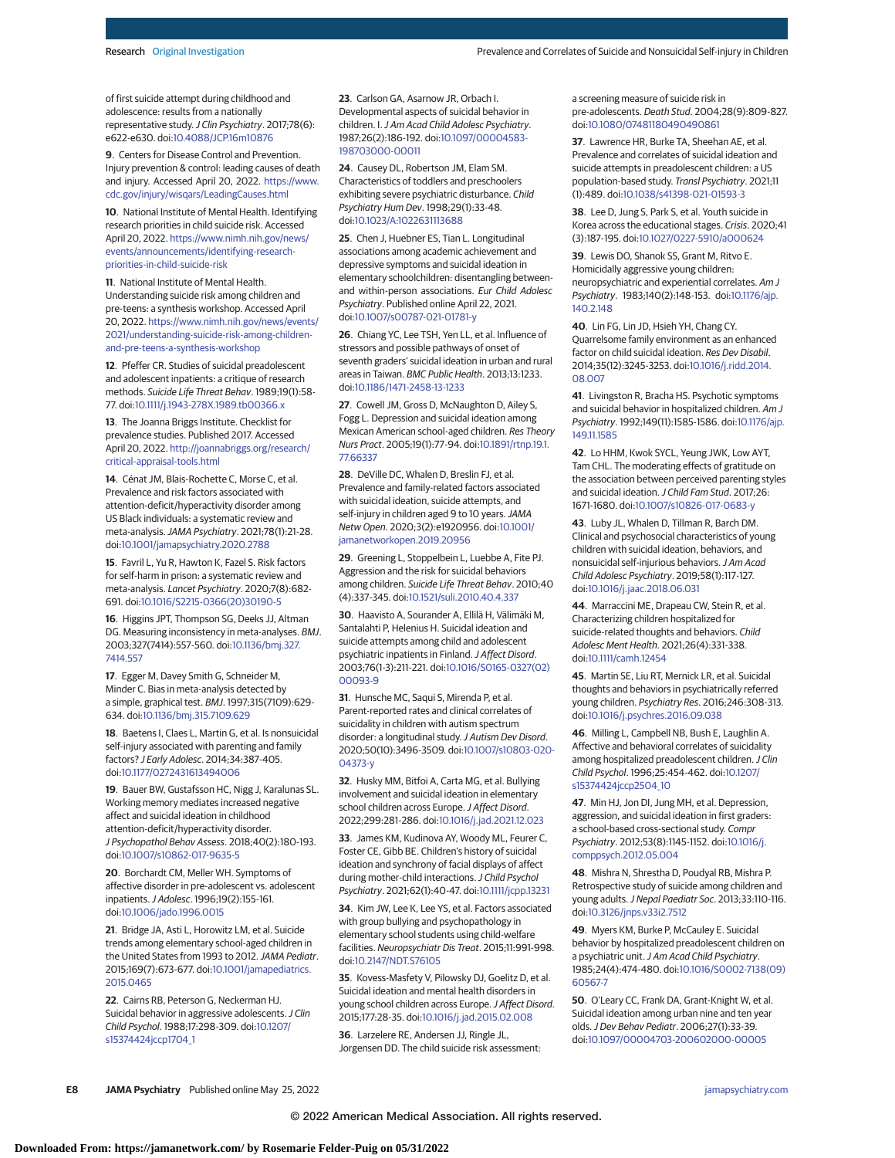of first suicide attempt during childhood and adolescence: results from a nationally representative study. J Clin Psychiatry. 2017;78(6): e622-e630. doi[:10.4088/JCP.16m10876](https://dx.doi.org/10.4088/JCP.16m10876)

**9**. Centers for Disease Control and Prevention. Injury prevention & control: leading causes of death and injury. Accessed April 20, 2022. [https://www.](https://www.cdc.gov/injury/wisqars/LeadingCauses.html) [cdc.gov/injury/wisqars/LeadingCauses.html](https://www.cdc.gov/injury/wisqars/LeadingCauses.html)

**10**. National Institute of Mental Health. Identifying research priorities in child suicide risk. Accessed April 20, 2022. [https://www.nimh.nih.gov/news/](https://www.nimh.nih.gov/news/events/announcements/identifying-research-priorities-in-child-suicide-risk) [events/announcements/identifying-research](https://www.nimh.nih.gov/news/events/announcements/identifying-research-priorities-in-child-suicide-risk)[priorities-in-child-suicide-risk](https://www.nimh.nih.gov/news/events/announcements/identifying-research-priorities-in-child-suicide-risk)

**11**. National Institute of Mental Health. Understanding suicide risk among children and pre-teens: a synthesis workshop. Accessed April 20, 2022. [https://www.nimh.nih.gov/news/events/](https://www.nimh.nih.gov/news/events/2021/understanding-suicide-risk-among-children-and-pre-teens-a-synthesis-workshop) [2021/understanding-suicide-risk-among-children](https://www.nimh.nih.gov/news/events/2021/understanding-suicide-risk-among-children-and-pre-teens-a-synthesis-workshop)[and-pre-teens-a-synthesis-workshop](https://www.nimh.nih.gov/news/events/2021/understanding-suicide-risk-among-children-and-pre-teens-a-synthesis-workshop)

**12**. Pfeffer CR. Studies of suicidal preadolescent and adolescent inpatients: a critique of research methods. Suicide Life Threat Behav. 1989;19(1):58- 77. doi[:10.1111/j.1943-278X.1989.tb00366.x](https://dx.doi.org/10.1111/j.1943-278X.1989.tb00366.x)

**13**. The Joanna Briggs Institute. Checklist for prevalence studies. Published 2017. Accessed April 20, 2022. [http://joannabriggs.org/research/](http://joannabriggs.org/research/critical-appraisal-tools.html) [critical-appraisal-tools.html](http://joannabriggs.org/research/critical-appraisal-tools.html)

**14**. Cénat JM, Blais-Rochette C, Morse C, et al. Prevalence and risk factors associated with attention-deficit/hyperactivity disorder among US Black individuals: a systematic review and meta-analysis.JAMA Psychiatry. 2021;78(1):21-28. doi[:10.1001/jamapsychiatry.2020.2788](https://jamanetwork.com/journals/jama/fullarticle/10.1001/jamapsychiatry.2020.2788?utm_campaign=articlePDF%26utm_medium=articlePDFlink%26utm_source=articlePDF%26utm_content=jamapsychiatry.2022.1256)

**15**. Favril L, Yu R, Hawton K, Fazel S. Risk factors for self-harm in prison: a systematic review and meta-analysis. Lancet Psychiatry. 2020;7(8):682- 691. doi[:10.1016/S2215-0366\(20\)30190-5](https://dx.doi.org/10.1016/S2215-0366(20)30190-5)

**16**. Higgins JPT, Thompson SG, Deeks JJ, Altman DG. Measuring inconsistency in meta-analyses. BMJ. 2003;327(7414):557-560. doi[:10.1136/bmj.327.](https://dx.doi.org/10.1136/bmj.327.7414.557) [7414.557](https://dx.doi.org/10.1136/bmj.327.7414.557)

**17**. Egger M, Davey Smith G, Schneider M, Minder C. Bias in meta-analysis detected by a simple, graphical test. BMJ. 1997;315(7109):629- 634. doi[:10.1136/bmj.315.7109.629](https://dx.doi.org/10.1136/bmj.315.7109.629)

**18**. Baetens I, Claes L, Martin G, et al. Is nonsuicidal self-injury associated with parenting and family factors? J Early Adolesc. 2014;34:387-405. doi[:10.1177/0272431613494006](https://dx.doi.org/10.1177/0272431613494006)

**19**. Bauer BW, Gustafsson HC, Nigg J, Karalunas SL. Working memory mediates increased negative affect and suicidal ideation in childhood attention-deficit/hyperactivity disorder. J Psychopathol Behav Assess. 2018;40(2):180-193. doi[:10.1007/s10862-017-9635-5](https://dx.doi.org/10.1007/s10862-017-9635-5)

**20**. Borchardt CM, Meller WH. Symptoms of affective disorder in pre-adolescent vs. adolescent inpatients.J Adolesc. 1996;19(2):155-161. doi[:10.1006/jado.1996.0015](https://dx.doi.org/10.1006/jado.1996.0015)

**21**. Bridge JA, Asti L, Horowitz LM, et al. Suicide trends among elementary school-aged children in the United States from 1993 to 2012. JAMA Pediatr. 2015;169(7):673-677. doi[:10.1001/jamapediatrics.](https://jamanetwork.com/journals/jama/fullarticle/10.1001/jamapediatrics.2015.0465?utm_campaign=articlePDF%26utm_medium=articlePDFlink%26utm_source=articlePDF%26utm_content=jamapsychiatry.2022.1256) [2015.0465](https://jamanetwork.com/journals/jama/fullarticle/10.1001/jamapediatrics.2015.0465?utm_campaign=articlePDF%26utm_medium=articlePDFlink%26utm_source=articlePDF%26utm_content=jamapsychiatry.2022.1256)

**22**. Cairns RB, Peterson G, Neckerman HJ. Suicidal behavior in aggressive adolescents. J Clin Child Psychol. 1988;17:298-309. doi[:10.1207/](https://dx.doi.org/10.1207/s15374424jccp1704_1) [s15374424jccp1704\\_1](https://dx.doi.org/10.1207/s15374424jccp1704_1)

**23**. Carlson GA, Asarnow JR, Orbach I. Developmental aspects of suicidal behavior in children. I.J Am Acad Child Adolesc Psychiatry. 1987;26(2):186-192. doi[:10.1097/00004583-](https://dx.doi.org/10.1097/00004583-198703000-00011) [198703000-00011](https://dx.doi.org/10.1097/00004583-198703000-00011)

**24**. Causey DL, Robertson JM, Elam SM. Characteristics of toddlers and preschoolers exhibiting severe psychiatric disturbance. Child Psychiatry Hum Dev. 1998;29(1):33-48. doi[:10.1023/A:1022631113688](https://dx.doi.org/10.1023/A:1022631113688)

**25**. Chen J, Huebner ES, Tian L. Longitudinal associations among academic achievement and depressive symptoms and suicidal ideation in elementary schoolchildren: disentangling betweenand within-person associations. Eur Child Adolesc Psychiatry. Published online April 22, 2021. doi[:10.1007/s00787-021-01781-y](https://dx.doi.org/10.1007/s00787-021-01781-y)

**26**. Chiang YC, Lee TSH, Yen LL, et al. Influence of stressors and possible pathways of onset of seventh graders' suicidal ideation in urban and rural areas in Taiwan. BMC Public Health. 2013;13:1233. doi[:10.1186/1471-2458-13-1233](https://dx.doi.org/10.1186/1471-2458-13-1233)

**27**. Cowell JM, Gross D, McNaughton D, Ailey S, Fogg L. Depression and suicidal ideation among Mexican American school-aged children. Res Theory Nurs Pract. 2005;19(1):77-94. doi[:10.1891/rtnp.19.1.](https://dx.doi.org/10.1891/rtnp.19.1.77.66337) [77.66337](https://dx.doi.org/10.1891/rtnp.19.1.77.66337)

**28**. DeVille DC, Whalen D, Breslin FJ, et al. Prevalence and family-related factors associated with suicidal ideation, suicide attempts, and self-injury in children aged 9 to 10 years. JAMA Netw Open. 2020;3(2):e1920956. doi[:10.1001/](https://jamanetwork.com/journals/jama/fullarticle/10.1001/jamanetworkopen.2019.20956?utm_campaign=articlePDF%26utm_medium=articlePDFlink%26utm_source=articlePDF%26utm_content=jamapsychiatry.2022.1256) [jamanetworkopen.2019.20956](https://jamanetwork.com/journals/jama/fullarticle/10.1001/jamanetworkopen.2019.20956?utm_campaign=articlePDF%26utm_medium=articlePDFlink%26utm_source=articlePDF%26utm_content=jamapsychiatry.2022.1256)

**29**. Greening L, Stoppelbein L, Luebbe A, Fite PJ. Aggression and the risk for suicidal behaviors among children. Suicide Life Threat Behav. 2010;40 (4):337-345. doi[:10.1521/suli.2010.40.4.337](https://dx.doi.org/10.1521/suli.2010.40.4.337)

**30**. Haavisto A, Sourander A, Ellilä H, Välimäki M, Santalahti P, Helenius H. Suicidal ideation and suicide attempts among child and adolescent psychiatric inpatients in Finland. J Affect Disord. 2003;76(1-3):211-221. doi[:10.1016/S0165-0327\(02\)](https://dx.doi.org/10.1016/S0165-0327(02)00093-9) [00093-9](https://dx.doi.org/10.1016/S0165-0327(02)00093-9)

**31**. Hunsche MC, Saqui S, Mirenda P, et al. Parent-reported rates and clinical correlates of suicidality in children with autism spectrum disorder: a longitudinal study. J Autism Dev Disord. 2020;50(10):3496-3509. doi[:10.1007/s10803-020-](https://dx.doi.org/10.1007/s10803-020-04373-y) [04373-y](https://dx.doi.org/10.1007/s10803-020-04373-y)

**32**. Husky MM, Bitfoi A, Carta MG, et al. Bullying involvement and suicidal ideation in elementary school children across Europe.J Affect Disord. 2022;299:281-286. doi[:10.1016/j.jad.2021.12.023](https://dx.doi.org/10.1016/j.jad.2021.12.023)

**33**. James KM, Kudinova AY, Woody ML, Feurer C, Foster CE, Gibb BE. Children's history of suicidal ideation and synchrony of facial displays of affect during mother-child interactions. J Child Psychol Psychiatry. 2021;62(1):40-47. doi[:10.1111/jcpp.13231](https://dx.doi.org/10.1111/jcpp.13231)

**34**. Kim JW, Lee K, Lee YS, et al. Factors associated with group bullying and psychopathology in elementary school students using child-welfare facilities. Neuropsychiatr Dis Treat. 2015;11:991-998. doi[:10.2147/NDT.S76105](https://dx.doi.org/10.2147/NDT.S76105)

**35**. Kovess-Masfety V, Pilowsky DJ, Goelitz D, et al. Suicidal ideation and mental health disorders in young school children across Europe.J Affect Disord. 2015;177:28-35. doi[:10.1016/j.jad.2015.02.008](https://dx.doi.org/10.1016/j.jad.2015.02.008)

**36**. Larzelere RE, Andersen JJ, Ringle JL, Jorgensen DD. The child suicide risk assessment: a screening measure of suicide risk in pre-adolescents. Death Stud. 2004;28(9):809-827. doi[:10.1080/07481180490490861](https://dx.doi.org/10.1080/07481180490490861)

**37**. Lawrence HR, Burke TA, Sheehan AE, et al. Prevalence and correlates of suicidal ideation and suicide attempts in preadolescent children: a US population-based study. Transl Psychiatry. 2021;11 (1):489. doi[:10.1038/s41398-021-01593-3](https://dx.doi.org/10.1038/s41398-021-01593-3)

**38**. Lee D, Jung S, Park S, et al. Youth suicide in Korea across the educational stages. Crisis. 2020;41 (3):187-195. doi[:10.1027/0227-5910/a000624](https://dx.doi.org/10.1027/0227-5910/a000624)

**39**. Lewis DO, Shanok SS, Grant M, Ritvo E. Homicidally aggressive young children: neuropsychiatric and experiential correlates. Am J Psychiatry. 1983;140(2):148-153. doi[:10.1176/ajp.](https://dx.doi.org/10.1176/ajp.140.2.148) [140.2.148](https://dx.doi.org/10.1176/ajp.140.2.148)

**40**. Lin FG, Lin JD, Hsieh YH, Chang CY. Quarrelsome family environment as an enhanced factor on child suicidal ideation. Res Dev Disabil. 2014;35(12):3245-3253. doi[:10.1016/j.ridd.2014.](https://dx.doi.org/10.1016/j.ridd.2014.08.007) [08.007](https://dx.doi.org/10.1016/j.ridd.2014.08.007)

**41**. Livingston R, Bracha HS. Psychotic symptoms and suicidal behavior in hospitalized children. Am J Psychiatry. 1992;149(11):1585-1586. doi[:10.1176/ajp.](https://dx.doi.org/10.1176/ajp.149.11.1585) [149.11.1585](https://dx.doi.org/10.1176/ajp.149.11.1585)

**42**. Lo HHM, Kwok SYCL, Yeung JWK, Low AYT, Tam CHL. The moderating effects of gratitude on the association between perceived parenting styles and suicidal ideation. J Child Fam Stud. 2017;26: 1671-1680. doi[:10.1007/s10826-017-0683-y](https://dx.doi.org/10.1007/s10826-017-0683-y)

**43**. Luby JL, Whalen D, Tillman R, Barch DM. Clinical and psychosocial characteristics of young children with suicidal ideation, behaviors, and nonsuicidal self-injurious behaviors.J Am Acad Child Adolesc Psychiatry. 2019;58(1):117-127. doi[:10.1016/j.jaac.2018.06.031](https://dx.doi.org/10.1016/j.jaac.2018.06.031)

**44**. Marraccini ME, Drapeau CW, Stein R, et al. Characterizing children hospitalized for suicide-related thoughts and behaviors. Child Adolesc Ment Health. 2021;26(4):331-338. doi[:10.1111/camh.12454](https://dx.doi.org/10.1111/camh.12454)

**45**. Martin SE, Liu RT, Mernick LR, et al. Suicidal thoughts and behaviors in psychiatrically referred young children. Psychiatry Res. 2016;246:308-313. doi[:10.1016/j.psychres.2016.09.038](https://dx.doi.org/10.1016/j.psychres.2016.09.038)

**46**. Milling L, Campbell NB, Bush E, Laughlin A. Affective and behavioral correlates of suicidality among hospitalized preadolescent children. J Clin Child Psychol. 1996;25:454-462. doi[:10.1207/](https://dx.doi.org/10.1207/s15374424jccp2504_10) [s15374424jccp2504\\_10](https://dx.doi.org/10.1207/s15374424jccp2504_10)

**47**. Min HJ, Jon DI, Jung MH, et al. Depression, aggression, and suicidal ideation in first graders: a school-based cross-sectional study. Compr Psychiatry. 2012;53(8):1145-1152. doi[:10.1016/j.](https://dx.doi.org/10.1016/j.comppsych.2012.05.004) [comppsych.2012.05.004](https://dx.doi.org/10.1016/j.comppsych.2012.05.004)

**48**. Mishra N, Shrestha D, Poudyal RB, Mishra P. Retrospective study of suicide among children and young adults.J Nepal Paediatr Soc. 2013;33:110-116. doi[:10.3126/jnps.v33i2.7512](https://dx.doi.org/10.3126/jnps.v33i2.7512)

**49**. Myers KM, Burke P, McCauley E. Suicidal behavior by hospitalized preadolescent children on a psychiatric unit. J Am Acad Child Psychiatry. 1985;24(4):474-480. doi[:10.1016/S0002-7138\(09\)](https://dx.doi.org/10.1016/S0002-7138(09)60567-7) [60567-7](https://dx.doi.org/10.1016/S0002-7138(09)60567-7)

**50**. O'Leary CC, Frank DA, Grant-Knight W, et al. Suicidal ideation among urban nine and ten year olds.J Dev Behav Pediatr. 2006;27(1):33-39. doi[:10.1097/00004703-200602000-00005](https://dx.doi.org/10.1097/00004703-200602000-00005)